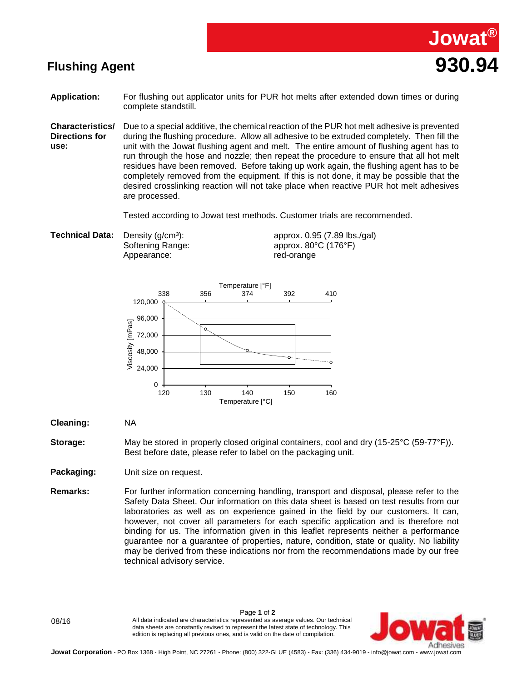



- **Application:** For flushing out applicator units for PUR hot melts after extended down times or during complete standstill.
- **Characteristics/ Directions for use:** Due to a special additive, the chemical reaction of the PUR hot melt adhesive is prevented during the flushing procedure. Allow all adhesive to be extruded completely. Then fill the unit with the Jowat flushing agent and melt. The entire amount of flushing agent has to run through the hose and nozzle; then repeat the procedure to ensure that all hot melt residues have been removed. Before taking up work again, the flushing agent has to be completely removed from the equipment. If this is not done, it may be possible that the desired crosslinking reaction will not take place when reactive PUR hot melt adhesives are processed.

Tested according to Jowat test methods. Customer trials are recommended.

**Technical Data:** Density (g/cm<sup>3</sup>): Softening Range: Appearance:

approx. 0.95 (7.89 lbs./gal) approx. 80°C (176°F) red-orange



**Cleaning:** NA

**Storage:** May be stored in properly closed original containers, cool and dry (15-25°C (59-77°F)). Best before date, please refer to label on the packaging unit.

**Packaging:** Unit size on request.

**Remarks:** For further information concerning handling, transport and disposal, please refer to the Safety Data Sheet. Our information on this data sheet is based on test results from our laboratories as well as on experience gained in the field by our customers. It can, however, not cover all parameters for each specific application and is therefore not binding for us. The information given in this leaflet represents neither a performance guarantee nor a guarantee of properties, nature, condition, state or quality. No liability may be derived from these indications nor from the recommendations made by our free technical advisory service.

Page **1** of **2** 08/16 All data indicated are characteristics represented as average values. Our technical data sheets are constantly revised to represent the latest state of technology. This edition is replacing all previous ones, and is valid on the date of compilation.